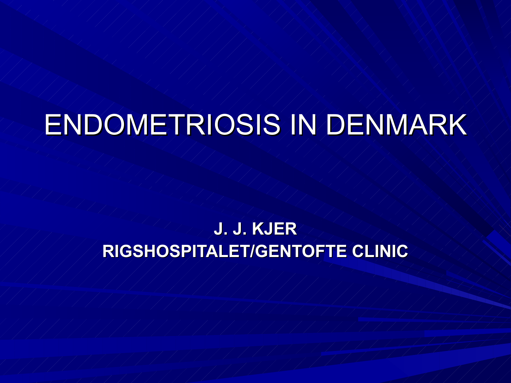## ENDOMETRIOSIS IN DENMARK

### **J. J. KJER RIGSHOSPITALET/GENTOFTE CLINIC**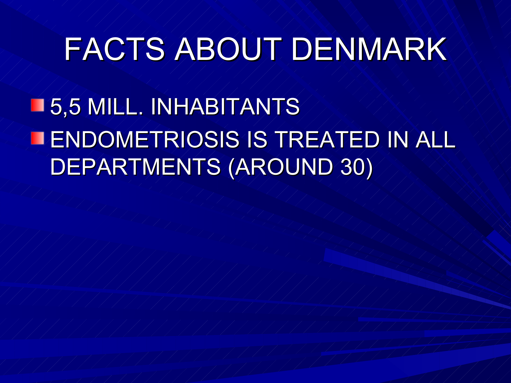## FACTS ABOUT DENMARK

**15,5 MILL. INHABITANTS** ENDOMETRIOSIS IS TREATED IN ALL DEPARTMENTS (AROUND 30)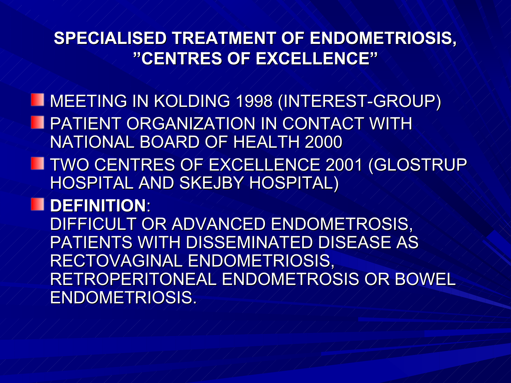#### **SPECIALISED TREATMENT OF ENDOMETRIOSIS, "CENTRES OF EXCELLENCE"**

MEETING IN KOLDING 1998 (INTEREST-GROUP) **PATIENT ORGANIZATION IN CONTACT WITH** NATIONAL BOARD OF HEALTH 2000

**TWO CENTRES OF EXCELLENCE 2001 (GLOSTRUP** HOSPITAL AND SKEJBY HOSPITAL)

**DEFINITION**:

DIFFICULT OR ADVANCED ENDOMETROSIS, PATIENTS WITH DISSEMINATED DISEASE AS RECTOVAGINAL ENDOMETRIOSIS, RETROPERITONEAL ENDOMETROSIS OR BOWEL ENDOMETRIOSIS.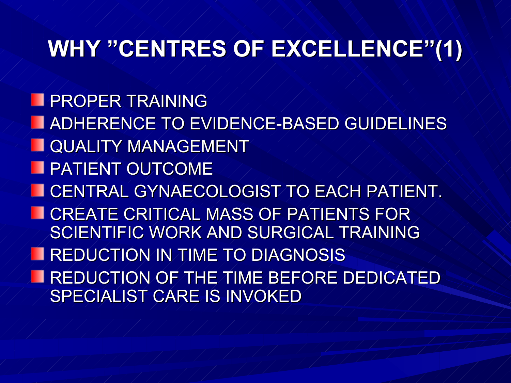### **WHY "CENTRES OF EXCELLENCE"(1)**

**PROPER TRAINING ADHERENCE TO EVIDENCE-BASED GUIDELINES NAUALITY MANAGEMENT PATIENT OUTCOME LOENTRAL GYNAECOLOGIST TO EACH PATIENT. TEATE CRITICAL MASS OF PATIENTS FOR** SCIENTIFIC WORK AND SURGICAL TRAINING **REDUCTION IN TIME TO DIAGNOSIS** REDUCTION OF THE TIME BEFORE DEDICATED SPECIALIST CARE IS INVOKED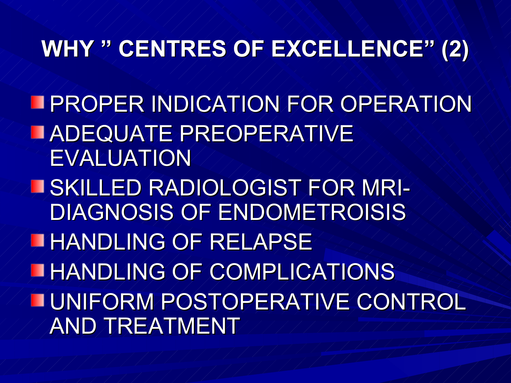### **WHY " CENTRES OF EXCELLENCE" (2)**

**FIPROPER INDICATION FOR OPERATION ADEQUATE PREOPERATIVE** EVALUATION SKILLED RADIOLOGIST FOR MRI-DIAGNOSIS OF ENDOMETROISIS HANDLING OF RELAPSE HANDLING OF COMPLICATIONS UNIFORM POSTOPERATIVE CONTROL AND TREATMENT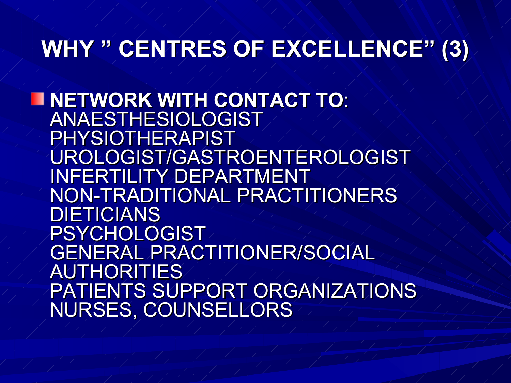### **WHY " CENTRES OF EXCELLENCE" (3)**

**NETWORK WITH CONTACT TO**: ANAESTHESIOLOGIST PHYSIOTHERAPIST UROLOGIST/GASTROENTEROLOGIST INFERTILITY DEPARTMENT NON-TRADITIONAL PRACTITIONERS **DIETICIANS** PSYCHOLOGIST GENERAL PRACTITIONER/SOCIAL AUTHORITIES PATIENTS SUPPORT ORGANIZATIONS NURSES, COUNSELLORS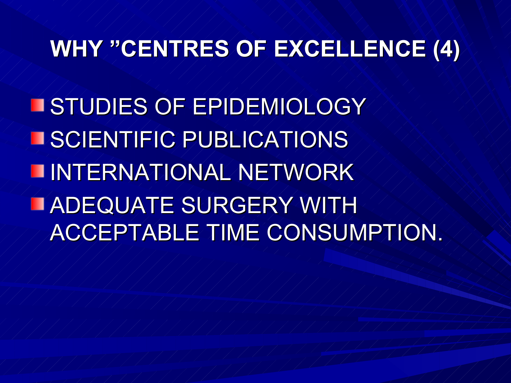## **WHY "CENTRES OF EXCELLENCE (4)**

**ESTUDIES OF EPIDEMIOLOGY ISCIENTIFIC PUBLICATIONS INTERNATIONAL NETWORK** ADEQUATE SURGERY WITH ACCEPTABLE TIME CONSUMPTION.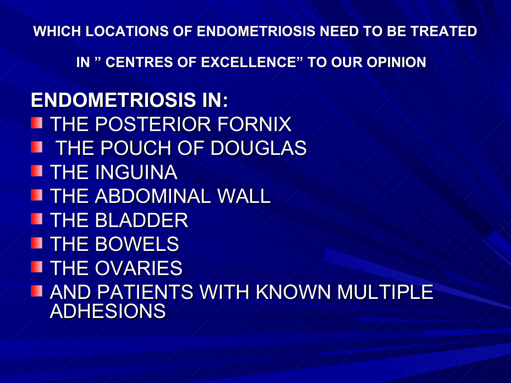**WHICH LOCATIONS OF ENDOMETRIOSIS NEED TO BE TREATED** 

**IN " CENTRES OF EXCELLENCE" TO OUR OPINION**

**ENDOMETRIOSIS IN: THE POSTERIOR FORNIX IMATHE POUCH OF DOUGLAS THE INGUINA TUTHE ABDOMINAL WALL THE BLADDER THE BOWELS THE OVARIES** AND PATIENTS WITH KNOWN MULTIPLE ADHESIONS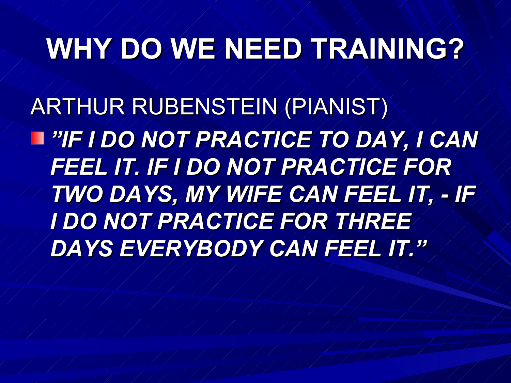## **WHY DO WE NEED TRAINING?**

ARTHUR RUBENSTEIN (PIANIST) *"IF I DO NOT PRACTICE TO DAY, I CAN FEEL IT. IF I DO NOT PRACTICE FOR TWO DAYS, MY WIFE CAN FEEL IT, - IF I DO NOT PRACTICE FOR THREE DAYS EVERYBODY CAN FEEL IT."*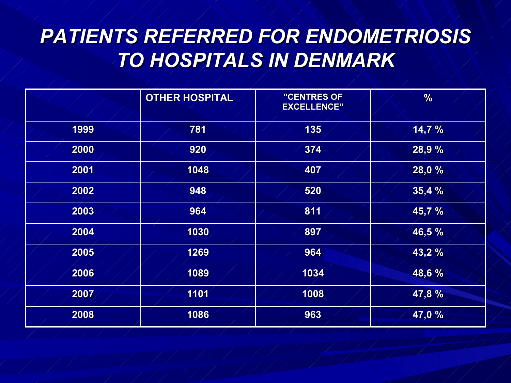### *PATIENTS REFERRED FOR ENDOMETRIOSIS TO HOSPITALS IN DENMARK*

|      | <b>OTHER HOSPITAL</b> | "CENTRES OF<br><b>EXCELLENCE"</b> | %      |
|------|-----------------------|-----------------------------------|--------|
| 1999 | 781                   | 135                               | 14,7%  |
| 2000 | 920                   | 374                               | 28,9 % |
| 2001 | 1048                  | 407                               | 28,0 % |
| 2002 | 948                   | 520                               | 35,4%  |
| 2003 | 964                   | 811                               | 45,7 % |
| 2004 | 1030                  | 897                               | 46,5%  |
| 2005 | 1269                  | 964                               | 43,2 % |
| 2006 | 1089                  | 1034                              | 48,6 % |
| 2007 | 1101                  | 1008                              | 47,8%  |
| 2008 | 1086                  | 963                               | 47,0 % |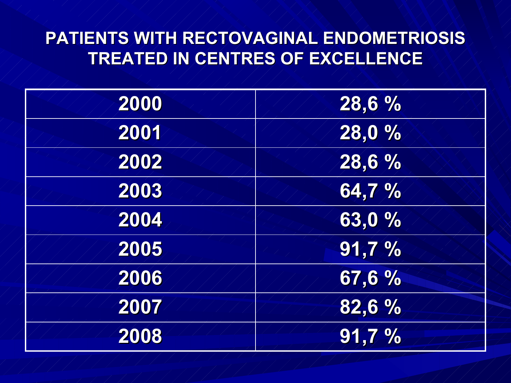### **PATIENTS WITH RECTOVAGINAL ENDOMETRIOSIS TREATED IN CENTRES OF EXCELLENCE**

| 2000 | 28,6 % |
|------|--------|
| 2001 | 28,0 % |
| 2002 | 28,6 % |
| 2003 | 64,7%  |
| 2004 | 63,0 % |
| 2005 | 91,7%  |
| 2006 | 67,6 % |
| 2007 | 82,6 % |
| 2008 | 91,7%  |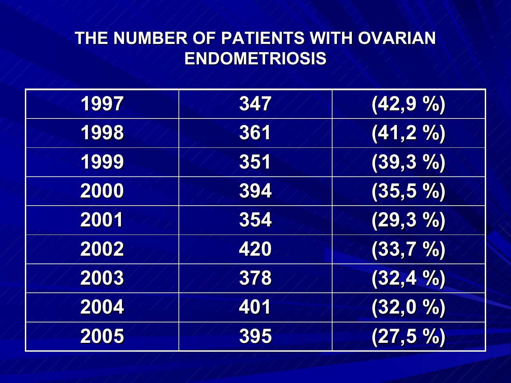### **THE NUMBER OF PATIENTS WITH OVARIAN ENDOMETRIOSIS**

| 1997 | 347 | (42,9%      |
|------|-----|-------------|
| 1998 | 361 | (41,2%)     |
| 1999 | 351 | $(39, 3\%)$ |
| 2000 | 394 | (35,5,9)    |
| 2001 | 354 | (29,3,96)   |
| 2002 | 420 | (33,7,96)   |
| 2003 | 378 | (32, 4%     |
| 2004 | 401 | (32,0,0)    |
| 2005 | 395 | (27,5%      |
|      |     |             |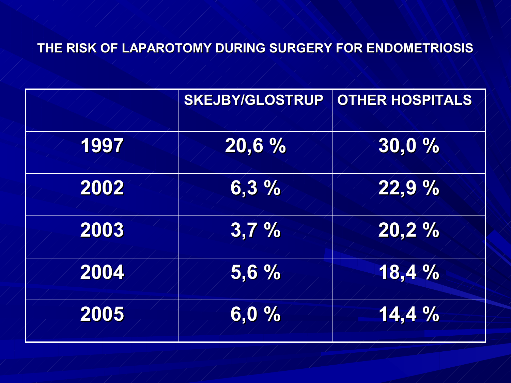#### **THE RISK OF LAPAROTOMY DURING SURGERY FOR ENDOMETRIOSIS**

|      | <b>SKEJBY/GLOSTRUP</b> | OTHER HOSPITALS |
|------|------------------------|-----------------|
| 1997 | 20,6 %                 | 30,0%           |
| 2002 | 6,3%                   | 22,9 %          |
| 2003 | 3,7%                   | 20,2%           |
| 2004 | 5,6%                   | 18,4 %          |
| 2005 | 6,0,%                  | 14,4%           |
|      |                        |                 |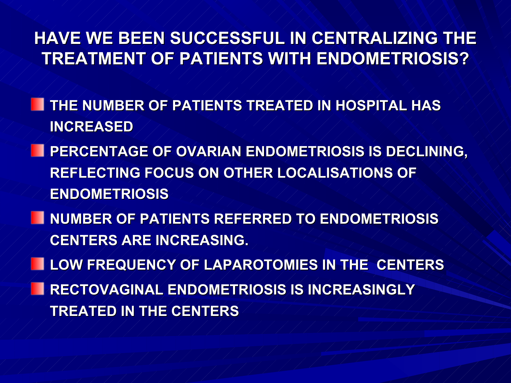#### **HAVE WE BEEN SUCCESSFUL IN CENTRALIZING THE TREATMENT OF PATIENTS WITH ENDOMETRIOSIS?**

- **THE NUMBER OF PATIENTS TREATED IN HOSPITAL HAS INCREASED**
- **PERCENTAGE OF OVARIAN ENDOMETRIOSIS IS DECLINING, REFLECTING FOCUS ON OTHER LOCALISATIONS OF ENDOMETRIOSIS**
- **NUMBER OF PATIENTS REFERRED TO ENDOMETRIOSIS CENTERS ARE INCREASING.**
- **LOW FREQUENCY OF LAPAROTOMIES IN THE CENTERS RECTOVAGINAL ENDOMETRIOSIS IS INCREASINGLY TREATED IN THE CENTERS**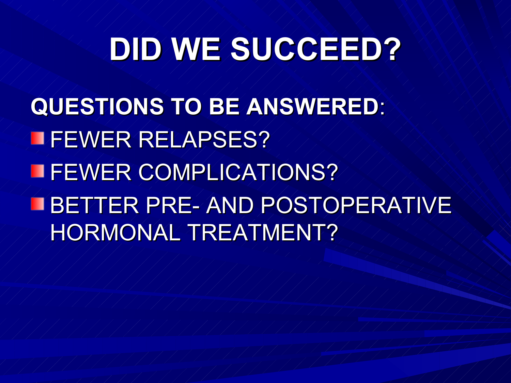# **DID WE SUCCEED?**

**QUESTIONS TO BE ANSWERED**: **ILFEWER RELAPSES? EFEWER COMPLICATIONS?** BETTER PRE- AND POSTOPERATIVE HORMONAL TREATMENT?